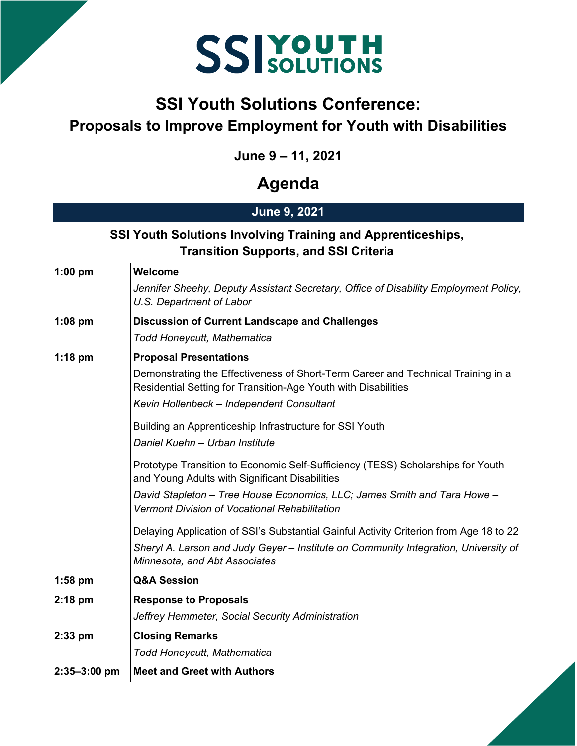## **SSIYOUTH**

## **SSI Youth Solutions Conference: Proposals to Improve Employment for Youth with Disabilities**

**June 9 – 11, 2021**

## **Agenda**

### **June 9, 2021**

#### **SSI Youth Solutions Involving Training and Apprenticeships, Transition Supports, and SSI Criteria**

| $1:00$ pm    | Welcome                                                                                                                                                                                                        |
|--------------|----------------------------------------------------------------------------------------------------------------------------------------------------------------------------------------------------------------|
|              | Jennifer Sheehy, Deputy Assistant Secretary, Office of Disability Employment Policy,<br>U.S. Department of Labor                                                                                               |
| $1:08$ pm    | <b>Discussion of Current Landscape and Challenges</b>                                                                                                                                                          |
|              | Todd Honeycutt, Mathematica                                                                                                                                                                                    |
| $1:18$ pm    | <b>Proposal Presentations</b>                                                                                                                                                                                  |
|              | Demonstrating the Effectiveness of Short-Term Career and Technical Training in a<br>Residential Setting for Transition-Age Youth with Disabilities                                                             |
|              | Kevin Hollenbeck - Independent Consultant                                                                                                                                                                      |
|              | Building an Apprenticeship Infrastructure for SSI Youth<br>Daniel Kuehn - Urban Institute                                                                                                                      |
|              | Prototype Transition to Economic Self-Sufficiency (TESS) Scholarships for Youth<br>and Young Adults with Significant Disabilities                                                                              |
|              | David Stapleton – Tree House Economics, LLC; James Smith and Tara Howe –<br>Vermont Division of Vocational Rehabilitation                                                                                      |
|              | Delaying Application of SSI's Substantial Gainful Activity Criterion from Age 18 to 22<br>Sheryl A. Larson and Judy Geyer - Institute on Community Integration, University of<br>Minnesota, and Abt Associates |
| $1:58$ pm    | <b>Q&amp;A Session</b>                                                                                                                                                                                         |
| $2:18$ pm    | <b>Response to Proposals</b>                                                                                                                                                                                   |
|              | Jeffrey Hemmeter, Social Security Administration                                                                                                                                                               |
| $2:33$ pm    | <b>Closing Remarks</b>                                                                                                                                                                                         |
|              | Todd Honeycutt, Mathematica                                                                                                                                                                                    |
| 2:35-3:00 pm | <b>Meet and Greet with Authors</b>                                                                                                                                                                             |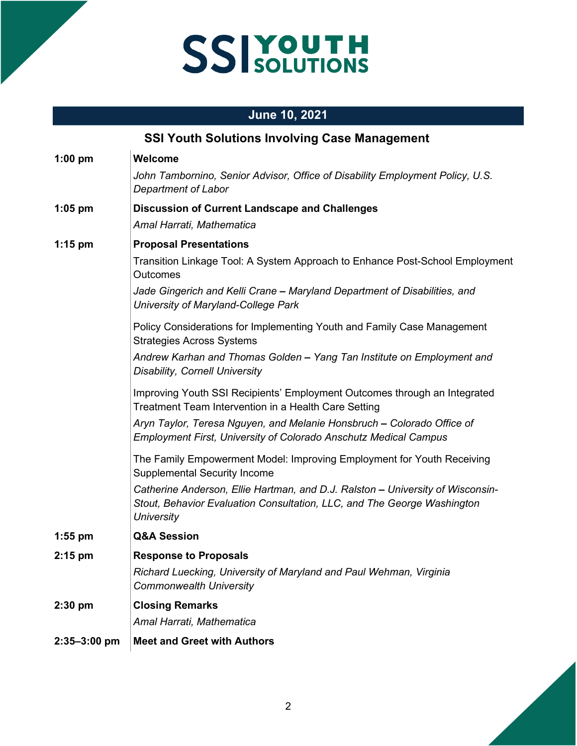# SSIYOUTH

### **June 10, 2021**

| <b>SSI Youth Solutions Involving Case Management</b> |                                                                                                                                                                                |  |
|------------------------------------------------------|--------------------------------------------------------------------------------------------------------------------------------------------------------------------------------|--|
| $1:00$ pm                                            | Welcome                                                                                                                                                                        |  |
|                                                      | John Tambornino, Senior Advisor, Office of Disability Employment Policy, U.S.<br><b>Department of Labor</b>                                                                    |  |
| $1:05$ pm                                            | <b>Discussion of Current Landscape and Challenges</b>                                                                                                                          |  |
|                                                      | Amal Harrati, Mathematica                                                                                                                                                      |  |
| $1:15$ pm                                            | <b>Proposal Presentations</b>                                                                                                                                                  |  |
|                                                      | Transition Linkage Tool: A System Approach to Enhance Post-School Employment<br>Outcomes                                                                                       |  |
|                                                      | Jade Gingerich and Kelli Crane - Maryland Department of Disabilities, and<br>University of Maryland-College Park                                                               |  |
|                                                      | Policy Considerations for Implementing Youth and Family Case Management<br><b>Strategies Across Systems</b>                                                                    |  |
|                                                      | Andrew Karhan and Thomas Golden – Yang Tan Institute on Employment and<br><b>Disability, Cornell University</b>                                                                |  |
|                                                      | Improving Youth SSI Recipients' Employment Outcomes through an Integrated<br>Treatment Team Intervention in a Health Care Setting                                              |  |
|                                                      | Aryn Taylor, Teresa Nguyen, and Melanie Honsbruch - Colorado Office of<br><b>Employment First, University of Colorado Anschutz Medical Campus</b>                              |  |
|                                                      | The Family Empowerment Model: Improving Employment for Youth Receiving<br><b>Supplemental Security Income</b>                                                                  |  |
|                                                      | Catherine Anderson, Ellie Hartman, and D.J. Ralston - University of Wisconsin-<br>Stout, Behavior Evaluation Consultation, LLC, and The George Washington<br><b>University</b> |  |
| $1:55$ pm                                            | <b>Q&amp;A Session</b>                                                                                                                                                         |  |
| $2:15$ pm                                            | <b>Response to Proposals</b>                                                                                                                                                   |  |
|                                                      | Richard Luecking, University of Maryland and Paul Wehman, Virginia<br><b>Commonwealth University</b>                                                                           |  |
| 2:30 pm                                              | <b>Closing Remarks</b>                                                                                                                                                         |  |
|                                                      | Amal Harrati, Mathematica                                                                                                                                                      |  |
| $2:35 - 3:00$ pm                                     | <b>Meet and Greet with Authors</b>                                                                                                                                             |  |